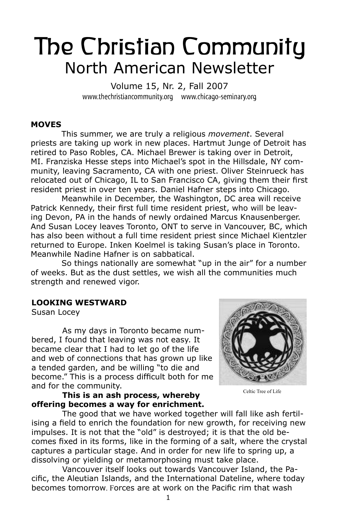# The Christian Community North American Newsletter

Volume 15, Nr. 2, Fall 2007 www.thechristiancommunity.org www.chicago-seminary.org

#### **MOVES**

This summer, we are truly a religious *movement*. Several priests are taking up work in new places. Hartmut Junge of Detroit has retired to Paso Robles, CA. Michael Brewer is taking over in Detroit, MI. Franziska Hesse steps into Michael's spot in the Hillsdale, NY community, leaving Sacramento, CA with one priest. Oliver Steinrueck has relocated out of Chicago, IL to San Francisco CA, giving them their first resident priest in over ten years. Daniel Hafner steps into Chicago.

Meanwhile in December, the Washington, DC area will receive Patrick Kennedy, their first full time resident priest, who will be leaving Devon, PA in the hands of newly ordained Marcus Knausenberger. And Susan Locey leaves Toronto, ONT to serve in Vancouver, BC, which has also been without a full time resident priest since Michael Kientzler returned to Europe. Inken Koelmel is taking Susan's place in Toronto. Meanwhile Nadine Hafner is on sabbatical.

So things nationally are somewhat "up in the air" for a number of weeks. But as the dust settles, we wish all the communities much strength and renewed vigor.

#### **LOOKING WESTWARD**

Susan Locey

As my days in Toronto became numbered, I found that leaving was not easy. It became clear that I had to let go of the life and web of connections that has grown up like a tended garden, and be willing "to die and become." This is a process difficult both for me and for the community.

**This is an ash process, whereby offering becomes a way for enrichment.** 



Celtic Tree of Life

The good that we have worked together will fall like ash fertilising a field to enrich the foundation for new growth, for receiving new impulses. It is not that the "old" is destroyed; it is that the old becomes fixed in its forms, like in the forming of a salt, where the crystal captures a particular stage. And in order for new life to spring up, a dissolving or yielding or metamorphosing must take place.

Vancouver itself looks out towards Vancouver Island, the Pacific, the Aleutian Islands, and the International Dateline, where today becomes tomorrow. Forces are at work on the Pacific rim that wash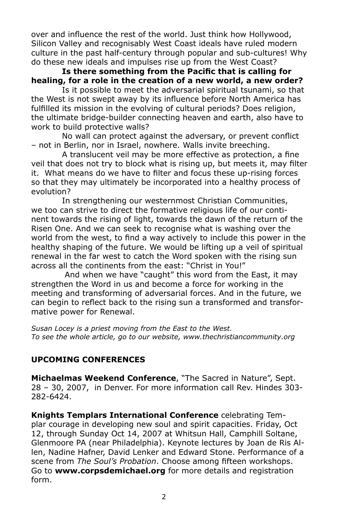over and influence the rest of the world. Just think how Hollywood, Silicon Valley and recognisably West Coast ideals have ruled modern culture in the past half-century through popular and sub-cultures! Why do these new ideals and impulses rise up from the West Coast?

**Is there something from the Pacific that is calling for healing, for a role in the creation of a new world, a new order?** 

Is it possible to meet the adversarial spiritual tsunami, so that the West is not swept away by its influence before North America has fulfilled its mission in the evolving of cultural periods? Does religion, the ultimate bridge-builder connecting heaven and earth, also have to work to build protective walls?

No wall can protect against the adversary, or prevent conflict – not in Berlin, nor in Israel, nowhere. Walls invite breeching.

A translucent veil may be more effective as protection, a fine veil that does not try to block what is rising up, but meets it, may filter it. What means do we have to filter and focus these up-rising forces so that they may ultimately be incorporated into a healthy process of evolution?

In strengthening our westernmost Christian Communities, we too can strive to direct the formative religious life of our continent towards the rising of light, towards the dawn of the return of the Risen One. And we can seek to recognise what is washing over the world from the west, to find a way actively to include this power in the healthy shaping of the future. We would be lifting up a veil of spiritual renewal in the far west to catch the Word spoken with the rising sun across all the continents from the east: "Christ in You!"

 And when we have "caught" this word from the East, it may strengthen the Word in us and become a force for working in the meeting and transforming of adversarial forces. And in the future, we can begin to reflect back to the rising sun a transformed and transformative power for Renewal.

*Susan Locey is a priest moving from the East to the West. To see the whole article, go to our website, www.thechristiancommunity.org*

# **UPCOMING CONFERENCES**

**Michaelmas Weekend Conference**, "The Sacred in Nature", Sept. 28 – 30, 2007, in Denver. For more information call Rev. Hindes 303- 282-6424.

**Knights Templars International Conference** celebrating Templar courage in developing new soul and spirit capacities. Friday, Oct 12, through Sunday Oct 14, 2007 at Whitsun Hall, Camphill Soltane, Glenmoore PA (near Philadelphia). Keynote lectures by Joan de Ris Allen, Nadine Hafner, David Lenker and Edward Stone. Performance of a scene from *The Soul's Probation*. Choose among fifteen workshops. Go to **www.corpsdemichael.org** for more details and registration form.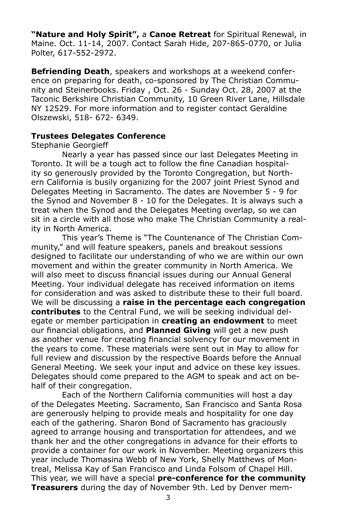**"Nature and Holy Spirit",** a **Canoe Retreat** for Spiritual Renewal, in Maine. Oct. 11-14, 2007. Contact Sarah Hide, 207-865-0770, or Julia Polter, 617-552-2972.

**Befriending Death**, speakers and workshops at a weekend conference on preparing for death, co-sponsored by The Christian Community and Steinerbooks. Friday , Oct. 26 - Sunday Oct. 28, 2007 at the Taconic Berkshire Christian Community, 10 Green River Lane, Hillsdale NY 12529. For more information and to register contact Geraldine Olszewski, 518- 672- 6349.

#### **Trustees Delegates Conference**

#### Stephanie Georgieff

Nearly a year has passed since our last Delegates Meeting in Toronto. It will be a tough act to follow the fine Canadian hospitality so generously provided by the Toronto Congregation, but Northern California is busily organizing for the 2007 joint Priest Synod and Delegates Meeting in Sacramento. The dates are November 5 - 9 for the Synod and November 8 - 10 for the Delegates. It is always such a treat when the Synod and the Delegates Meeting overlap, so we can sit in a circle with all those who make The Christian Community a reality in North America.

This year's Theme is "The Countenance of The Christian Community," and will feature speakers, panels and breakout sessions designed to facilitate our understanding of who we are within our own movement and within the greater community in North America. We will also meet to discuss financial issues during our Annual General Meeting. Your individual delegate has received information on items for consideration and was asked to distribute these to their full board. We will be discussing a **raise in the percentage each congregation contributes** to the Central Fund, we will be seeking individual delegate or member participation in **creating an endowment** to meet our financial obligations, and **Planned Giving** will get a new push as another venue for creating financial solvency for our movement in the years to come. These materials were sent out in May to allow for full review and discussion by the respective Boards before the Annual General Meeting. We seek your input and advice on these key issues. Delegates should come prepared to the AGM to speak and act on behalf of their congregation.

Each of the Northern California communities will host a day of the Delegates Meeting. Sacramento, San Francisco and Santa Rosa are generously helping to provide meals and hospitality for one day each of the gathering. Sharon Bond of Sacramento has graciously agreed to arrange housing and transportation for attendees, and we thank her and the other congregations in advance for their efforts to provide a container for our work in November. Meeting organizers this year include Thomasina Webb of New York, Shelly Matthews of Montreal, Melissa Kay of San Francisco and Linda Folsom of Chapel Hill. This year, we will have a special **pre-conference for the community Treasurers** during the day of November 9th. Led by Denver mem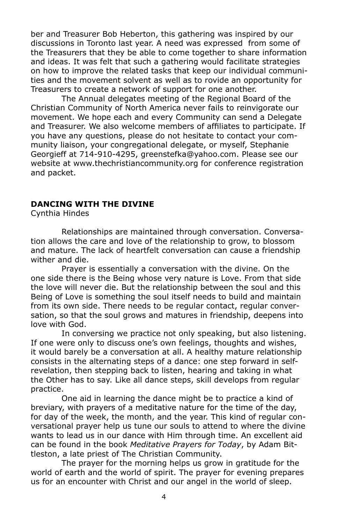ber and Treasurer Bob Heberton, this gathering was inspired by our discussions in Toronto last year. A need was expressed from some of the Treasurers that they be able to come together to share information and ideas. It was felt that such a gathering would facilitate strategies on how to improve the related tasks that keep our individual communities and the movement solvent as well as to rovide an opportunity for Treasurers to create a network of support for one another.

The Annual delegates meeting of the Regional Board of the Christian Community of North America never fails to reinvigorate our movement. We hope each and every Community can send a Delegate and Treasurer. We also welcome members of affiliates to participate. If you have any questions, please do not hesitate to contact your community liaison, your congregational delegate, or myself, Stephanie Georgieff at 714-910-4295, greenstefka@yahoo.com. Please see our website at www.thechristiancommunity.org for conference registration and packet.

#### **DANCING WITH THE DIVINE**

Cynthia Hindes

Relationships are maintained through conversation. Conversation allows the care and love of the relationship to grow, to blossom and mature. The lack of heartfelt conversation can cause a friendship wither and die.

Prayer is essentially a conversation with the divine. On the one side there is the Being whose very nature is Love. From that side the love will never die. But the relationship between the soul and this Being of Love is something the soul itself needs to build and maintain from its own side. There needs to be regular contact, regular conversation, so that the soul grows and matures in friendship, deepens into love with God.

In conversing we practice not only speaking, but also listening. If one were only to discuss one's own feelings, thoughts and wishes, it would barely be a conversation at all. A healthy mature relationship consists in the alternating steps of a dance: one step forward in selfrevelation, then stepping back to listen, hearing and taking in what the Other has to say. Like all dance steps, skill develops from regular practice.

One aid in learning the dance might be to practice a kind of breviary, with prayers of a meditative nature for the time of the day, for day of the week, the month, and the year. This kind of regular conversational prayer help us tune our souls to attend to where the divine wants to lead us in our dance with Him through time. An excellent aid can be found in the book *Meditative Prayers for Today*, by Adam Bittleston, a late priest of The Christian Community.

The prayer for the morning helps us grow in gratitude for the world of earth and the world of spirit. The prayer for evening prepares us for an encounter with Christ and our angel in the world of sleep.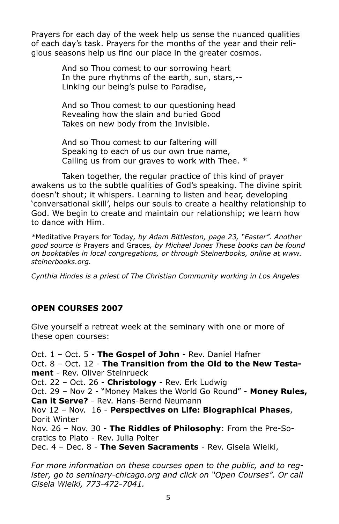Prayers for each day of the week help us sense the nuanced qualities of each day's task. Prayers for the months of the year and their religious seasons help us find our place in the greater cosmos.

> And so Thou comest to our sorrowing heart In the pure rhythms of the earth, sun, stars,-- Linking our being's pulse to Paradise,

And so Thou comest to our questioning head Revealing how the slain and buried Good Takes on new body from the Invisible.

And so Thou comest to our faltering will Speaking to each of us our own true name, Calling us from our graves to work with Thee. \*

Taken together, the regular practice of this kind of prayer awakens us to the subtle qualities of God's speaking. The divine spirit doesn't shout; it whispers. Learning to listen and hear, developing 'conversational skill', helps our souls to create a healthy relationship to God. We begin to create and maintain our relationship; we learn how to dance with Him.

*\**Meditative Prayers for Today*, by Adam Bittleston, page 23, "Easter". Another good source is* Prayers and Graces*, by Michael Jones These books can be found on booktables in local congregations, or through Steinerbooks, online at www. steinerbooks.org.* 

*Cynthia Hindes is a priest of The Christian Community working in Los Angeles*

# **OPEN COURSES 2007**

Give yourself a retreat week at the seminary with one or more of these open courses:

Oct. 1 – Oct. 5 - **The Gospel of John** - Rev. Daniel Hafner Oct. 8 – Oct. 12 - **The Transition from the Old to the New Testament** - Rev. Oliver Steinrueck Oct. 22 – Oct. 26 - **Christology** - Rev. Erk Ludwig Oct. 29 – Nov 2 - "Money Makes the World Go Round" - **Money Rules, Can it Serve?** - Rev. Hans-Bernd Neumann Nov 12 – Nov. 16 - **Perspectives on Life: Biographical Phases**, Dorit Winter Nov. 26 – Nov. 30 - **The Riddles of Philosophy**: From the Pre-Socratics to Plato - Rev. Julia Polter Dec. 4 – Dec. 8 - **The Seven Sacraments** - Rev. Gisela Wielki,

*For more information on these courses open to the public, and to register, go to seminary-chicago.org and click on "Open Courses". Or call Gisela Wielki, 773-472-7041.*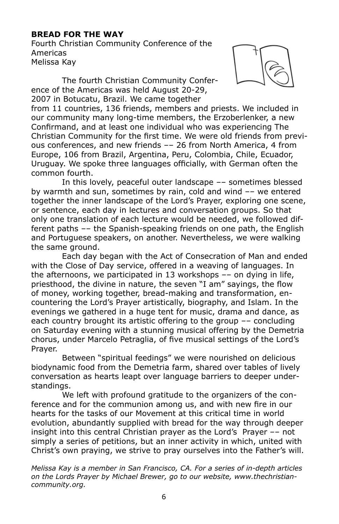# **BREAD FOR THE WAY**

Fourth Christian Community Conference of the Americas Melissa Kay

The fourth Christian Community Conference of the Americas was held August 20-29, 2007 in Botucatu, Brazil. We came together



from 11 countries, 136 friends, members and priests. We included in our community many long-time members, the Erzoberlenker, a new Confirmand, and at least one individual who was experiencing The Christian Community for the first time. We were old friends from previous conferences, and new friends –– 26 from North America, 4 from Europe, 106 from Brazil, Argentina, Peru, Colombia, Chile, Ecuador, Uruguay. We spoke three languages officially, with German often the common fourth.

In this lovely, peaceful outer landscape –– sometimes blessed by warmth and sun, sometimes by rain, cold and wind –– we entered together the inner landscape of the Lord's Prayer, exploring one scene, or sentence, each day in lectures and conversation groups. So that only one translation of each lecture would be needed, we followed different paths –– the Spanish-speaking friends on one path, the English and Portuguese speakers, on another. Nevertheless, we were walking the same ground.

Each day began with the Act of Consecration of Man and ended with the Close of Day service, offered in a weaving of languages. In the afternoons, we participated in 13 workshops –– on dying in life, priesthood, the divine in nature, the seven "I am" sayings, the flow of money, working together, bread-making and transformation, encountering the Lord's Prayer artistically, biography, and Islam. In the evenings we gathered in a huge tent for music, drama and dance, as each country brought its artistic offering to the group –– concluding on Saturday evening with a stunning musical offering by the Demetria chorus, under Marcelo Petraglia, of five musical settings of the Lord's Prayer.

Between "spiritual feedings" we were nourished on delicious biodynamic food from the Demetria farm, shared over tables of lively conversation as hearts leapt over language barriers to deeper understandings.

We left with profound gratitude to the organizers of the conference and for the communion among us, and with new fire in our hearts for the tasks of our Movement at this critical time in world evolution, abundantly supplied with bread for the way through deeper insight into this central Christian prayer as the Lord's Prayer –– not simply a series of petitions, but an inner activity in which, united with Christ's own praying, we strive to pray ourselves into the Father's will.

*Melissa Kay is a member in San Francisco, CA. For a series of in-depth articles on the Lords Prayer by Michael Brewer, go to our website, www.thechristiancommunity.org.*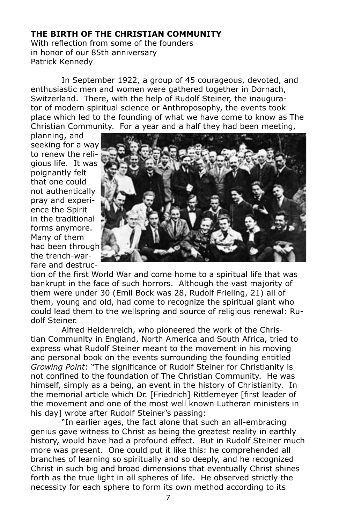#### **THE BIRTH OF THE CHRISTIAN COMMUNITY**

With reflection from some of the founders in honor of our 85th anniversary Patrick Kennedy

In September 1922, a group of 45 courageous, devoted, and enthusiastic men and women were gathered together in Dornach, Switzerland. There, with the help of Rudolf Steiner, the inaugurator of modern spiritual science or Anthroposophy, the events took place which led to the founding of what we have come to know as The Christian Community. For a year and a half they had been meeting,

planning, and seeking for a way to renew the religious life. It was poignantly felt that one could not authentically pray and experience the Spirit in the traditional forms anymore. Many of them had been through the trench-warfare and destruc-



tion of the first World War and come home to a spiritual life that was bankrupt in the face of such horrors. Although the vast majority of them were under 30 (Emil Bock was 28, Rudolf Frieling, 21) all of them, young and old, had come to recognize the spiritual giant who could lead them to the wellspring and source of religious renewal: Rudolf Steiner.

Alfred Heidenreich, who pioneered the work of the Christian Community in England, North America and South Africa, tried to express what Rudolf Steiner meant to the movement in his moving and personal book on the events surrounding the founding entitled *Growing Point*: "The significance of Rudolf Steiner for Christianity is not confined to the foundation of The Christian Community. He was himself, simply as a being, an event in the history of Christianity. In the memorial article which Dr. [Friedrich] Rittlemeyer [first leader of the movement and one of the most well known Lutheran ministers in his day] wrote after Rudolf Steiner's passing:

"In earlier ages, the fact alone that such an all-embracing genius gave witness to Christ as being the greatest reality in earthly history, would have had a profound effect. But in Rudolf Steiner much more was present. One could put it like this: he comprehended all branches of learning so spiritually and so deeply, and he recognized Christ in such big and broad dimensions that eventually Christ shines forth as the true light in all spheres of life. He observed strictly the necessity for each sphere to form its own method according to its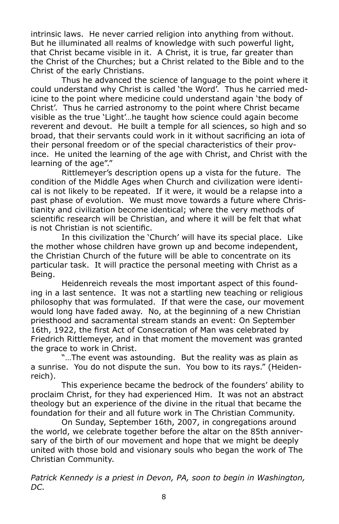intrinsic laws. He never carried religion into anything from without. But he illuminated all realms of knowledge with such powerful light, that Christ became visible in it. A Christ, it is true, far greater than the Christ of the Churches; but a Christ related to the Bible and to the Christ of the early Christians.

Thus he advanced the science of language to the point where it could understand why Christ is called 'the Word'. Thus he carried medicine to the point where medicine could understand again 'the body of Christ'. Thus he carried astronomy to the point where Christ became visible as the true 'Light'…he taught how science could again become reverent and devout. He built a temple for all sciences, so high and so broad, that their servants could work in it without sacrificing an iota of their personal freedom or of the special characteristics of their province. He united the learning of the age with Christ, and Christ with the learning of the age"."

Rittlemeyer's description opens up a vista for the future. The condition of the Middle Ages when Church and civilization were identical is not likely to be repeated. If it were, it would be a relapse into a past phase of evolution. We must move towards a future where Christianity and civilization become identical; where the very methods of scientific research will be Christian, and where it will be felt that what is not Christian is not scientific.

In this civilization the 'Church' will have its special place. Like the mother whose children have grown up and become independent, the Christian Church of the future will be able to concentrate on its particular task. It will practice the personal meeting with Christ as a Being.

Heidenreich reveals the most important aspect of this founding in a last sentence. It was not a startling new teaching or religious philosophy that was formulated. If that were the case, our movement would long have faded away. No, at the beginning of a new Christian priesthood and sacramental stream stands an event: On September 16th, 1922, the first Act of Consecration of Man was celebrated by Friedrich Rittlemeyer, and in that moment the movement was granted the grace to work in Christ.

"…The event was astounding. But the reality was as plain as a sunrise. You do not dispute the sun. You bow to its rays." (Heidenreich).

This experience became the bedrock of the founders' ability to proclaim Christ, for they had experienced Him. It was not an abstract theology but an experience of the divine in the ritual that became the foundation for their and all future work in The Christian Community.

On Sunday, September 16th, 2007, in congregations around the world, we celebrate together before the altar on the 85th anniversary of the birth of our movement and hope that we might be deeply united with those bold and visionary souls who began the work of The Christian Community.

*Patrick Kennedy is a priest in Devon, PA, soon to begin in Washington, DC.*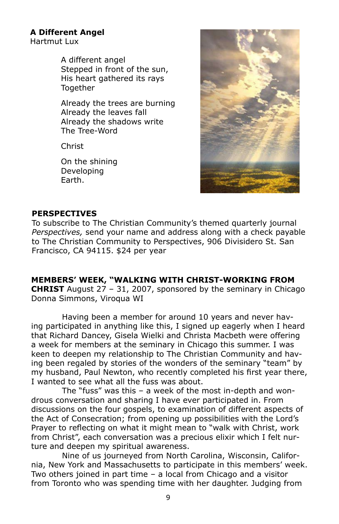# **A Different Angel**

Hartmut Lux

A different angel Stepped in front of the sun, His heart gathered its rays Together

Already the trees are burning Already the leaves fall Already the shadows write The Tree-Word

Christ

On the shining Developing Earth.



#### **PERSPECTIVES**

To subscribe to The Christian Community's themed quarterly journal *Perspectives,* send your name and address along with a check payable to The Christian Community to Perspectives, 906 Divisidero St. San Francisco, CA 94115. \$24 per year

**MEMBERS' WEEK, "WALKING WITH CHRIST-WORKING FROM CHRIST** August 27 – 31, 2007, sponsored by the seminary in Chicago Donna Simmons, Viroqua WI

Having been a member for around 10 years and never having participated in anything like this, I signed up eagerly when I heard that Richard Dancey, Gisela Wielki and Christa Macbeth were offering a week for members at the seminary in Chicago this summer. I was keen to deepen my relationship to The Christian Community and having been regaled by stories of the wonders of the seminary "team" by my husband, Paul Newton, who recently completed his first year there, I wanted to see what all the fuss was about.

The "fuss" was this – a week of the most in-depth and wondrous conversation and sharing I have ever participated in. From discussions on the four gospels, to examination of different aspects of the Act of Consecration; from opening up possibilities with the Lord's Prayer to reflecting on what it might mean to "walk with Christ, work from Christ", each conversation was a precious elixir which I felt nurture and deepen my spiritual awareness.

Nine of us journeyed from North Carolina, Wisconsin, California, New York and Massachusetts to participate in this members' week. Two others joined in part time – a local from Chicago and a visitor from Toronto who was spending time with her daughter. Judging from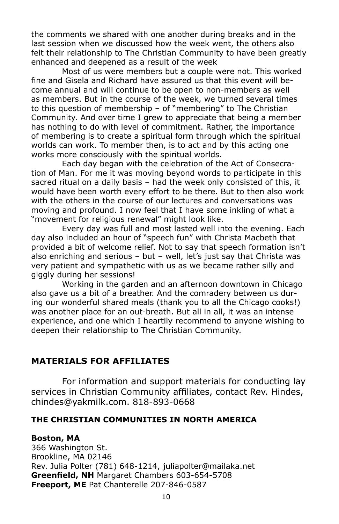the comments we shared with one another during breaks and in the last session when we discussed how the week went, the others also felt their relationship to The Christian Community to have been greatly enhanced and deepened as a result of the week

Most of us were members but a couple were not. This worked fine and Gisela and Richard have assured us that this event will become annual and will continue to be open to non-members as well as members. But in the course of the week, we turned several times to this question of membership – of "membering" to The Christian Community. And over time I grew to appreciate that being a member has nothing to do with level of commitment. Rather, the importance of membering is to create a spiritual form through which the spiritual worlds can work. To member then, is to act and by this acting one works more consciously with the spiritual worlds.

Each day began with the celebration of the Act of Consecration of Man. For me it was moving beyond words to participate in this sacred ritual on a daily basis – had the week only consisted of this, it would have been worth every effort to be there. But to then also work with the others in the course of our lectures and conversations was moving and profound. I now feel that I have some inkling of what a "movement for religious renewal" might look like.

Every day was full and most lasted well into the evening. Each day also included an hour of "speech fun" with Christa Macbeth that provided a bit of welcome relief. Not to say that speech formation isn't also enriching and serious – but – well, let's just say that Christa was very patient and sympathetic with us as we became rather silly and giggly during her sessions!

Working in the garden and an afternoon downtown in Chicago also gave us a bit of a breather. And the comradery between us during our wonderful shared meals (thank you to all the Chicago cooks!) was another place for an out-breath. But all in all, it was an intense experience, and one which I heartily recommend to anyone wishing to deepen their relationship to The Christian Community.

# **MATERIALS FOR AFFILIATES**

For information and support materials for conducting lay services in Christian Community affiliates, contact Rev. Hindes, chindes@yakmilk.com. 818-893-0668

#### **THE CHRISTIAN COMMUNITIES IN NORTH AMERICA**

#### **Boston, MA**

366 Washington St. Brookline, MA 02146 Rev. Julia Polter (781) 648-1214, juliapolter@mailaka.net **Greenfield, NH** Margaret Chambers 603-654-5708 **Freeport, ME** Pat Chanterelle 207-846-0587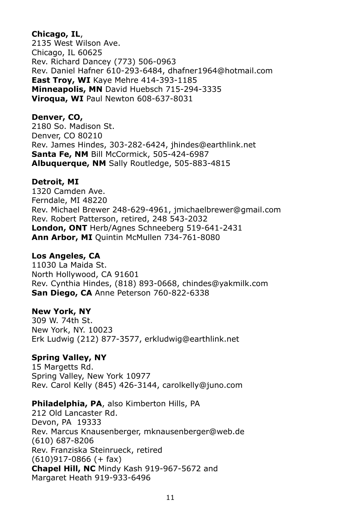#### **Chicago, IL**,

2135 West Wilson Ave. Chicago, IL 60625 Rev. Richard Dancey (773) 506-0963 Rev. Daniel Hafner 610-293-6484, dhafner1964@hotmail.com **East Troy, WI** Kaye Mehre 414-393-1185 **Minneapolis, MN** David Huebsch 715-294-3335 **Viroqua, WI** Paul Newton 608-637-8031

#### **Denver, CO,**

2180 So. Madison St. Denver, CO 80210 Rev. James Hindes, 303-282-6424, jhindes@earthlink.net **Santa Fe, NM** Bill McCormick, 505-424-6987 **Albuquerque, NM** Sally Routledge, 505-883-4815

#### **Detroit, MI**

1320 Camden Ave. Ferndale, MI 48220 Rev. Michael Brewer 248-629-4961, jmichaelbrewer@gmail.com Rev. Robert Patterson, retired, 248 543-2032 **London, ONT** Herb/Agnes Schneeberg 519-641-2431 **Ann Arbor, MI** Quintin McMullen 734-761-8080

#### **Los Angeles, CA**

11030 La Maida St. North Hollywood, CA 91601 Rev. Cynthia Hindes, (818) 893-0668, chindes@yakmilk.com **San Diego, CA** Anne Peterson 760-822-6338

#### **New York, NY**

309 W. 74th St. New York, NY. 10023 Erk Ludwig (212) 877-3577, erkludwig@earthlink.net

#### **Spring Valley, NY**

15 Margetts Rd. Spring Valley, New York 10977 Rev. Carol Kelly (845) 426-3144, carolkelly@juno.com

**Philadelphia, PA**, also Kimberton Hills, PA

212 Old Lancaster Rd. Devon, PA 19333 Rev. Marcus Knausenberger, mknausenberger@web.de (610) 687-8206 Rev. Franziska Steinrueck, retired  $(610)917-0866$  (+ fax) **Chapel Hill, NC** Mindy Kash 919-967-5672 and Margaret Heath 919-933-6496